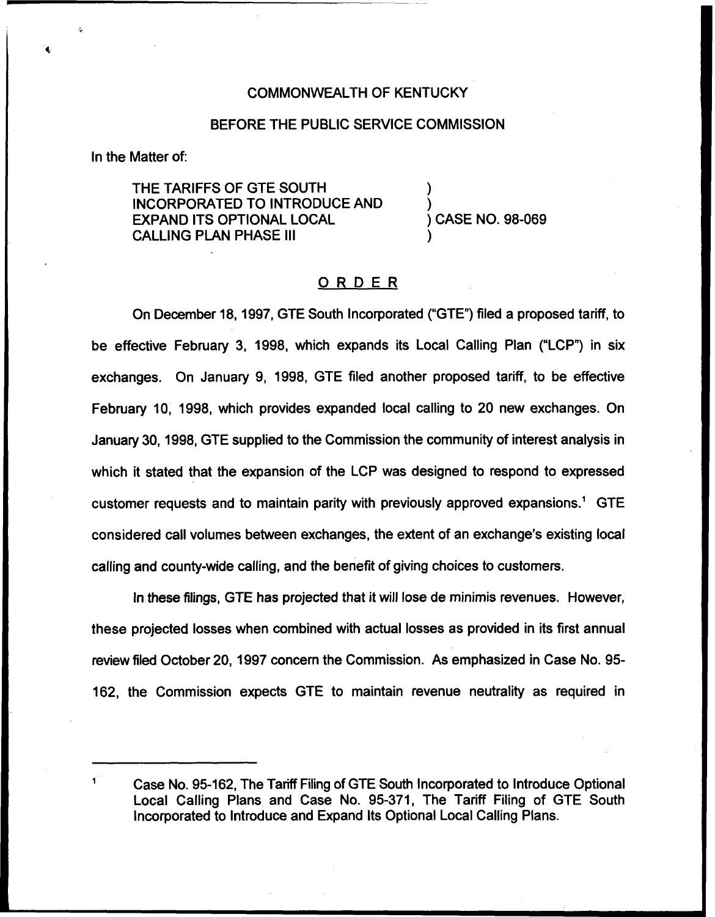### COMMONWEALTH OF KENTUCKY

### BEFORE THE PUBLIC SERVICE COMMISSION

In the Matter of:

THE TARIFFS OF GTE SOUTH INCORPORATED TO INTRODUCE AND EXPAND ITS OPTIONAL LOCAL CALLING PLAN PHASE III

) CASE NO. 98-069

) )

)

## ORDER

On December 18, 1997, GTE South Incorporated ("GTE") filed a proposed tariff, to be effective February 3, 1998, which expands its Local Calling Plan ("LCP") in six exchanges. On January 9, 1998, GTE filed another proposed tariff, to be effective February 10, 1998, which provides expanded local calling to 20 new exchanges. On January 30, 1998, GTE supplied to the Commission the community of interest analysis in which it stated that the expansion of the LCP was designed to respond to expressed customer requests and to maintain parity with previously approved expansions.<sup>1</sup> GTE considered call volumes between exchanges, the extent of an exchange's existing local calling and county-wide calling, and the benefit of giving choices to customers.

In these filings, GTE has projected that it will lose de minimis revenues. However, these projected losses when combined with actual losses as provided in its first annual review filed October 20, 1997 concern the Commission. As emphasized in Case No. 95- 162, the Commission expects GTE to maintain revenue neutrality as required in

Case No. 95-162, The Tariff Filing of GTE South Incorporated to Introduce Optional Local Calling Plans and Case No. 95-371, The Tariff Filing of GTE South Incorporated to Introduce and Expand Its Optional Local Calling Plans.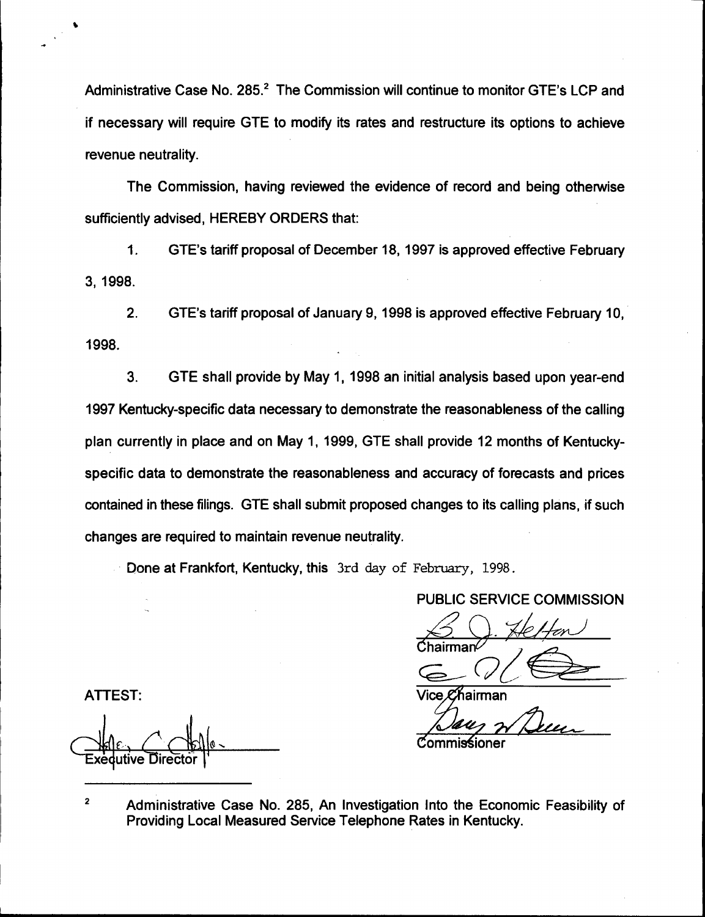Administrative Case No. 285.<sup>2</sup> The Commission will continue to monitor GTE's LCP and if necessary will require GTE to modify its rates and restructure its options to achieve revenue neutrality.

The Commission, having reviewed the evidence of record and being otherwise sufficiently advised, HEREBY ORDERS that:

 $1.$ GTE's tariff proposal of December 18, 1997 is approved effective February 3, 1998.

2. GTE's tariff proposal of January 9, 1998 is approved effective February 10, 1998.

3. GTE shall provide by May 1, 1998 an initial analysis based upon year-end 1997 Kentucky-specific data necessary to demonstrate the reasonableness of the calling plan currently in place and on May 1, 1999, GTE shall provide 12 months of Kentuckyspecific data to demonstrate the reasonableness and accuracy of forecasts and prices contained in these filings. GTE shall submit proposed changes to its calling plans, if such changes are required to maintain revenue neutrality.

Done at Frankfort, Kentucky, this  $3rd$  day of February, 1998.

PUBLIC SERVICE COMMISSION

'ice *C*'⁄hairman

 $\%$ ommis $\pm$ ioner

ATTEST:

I utive Direc

 $\overline{\mathbf{2}}$ Administrative Case No. 285, An Investigation Into the Economic Feasibility of Providing Local Measured Service Telephone Rates in Kentucky.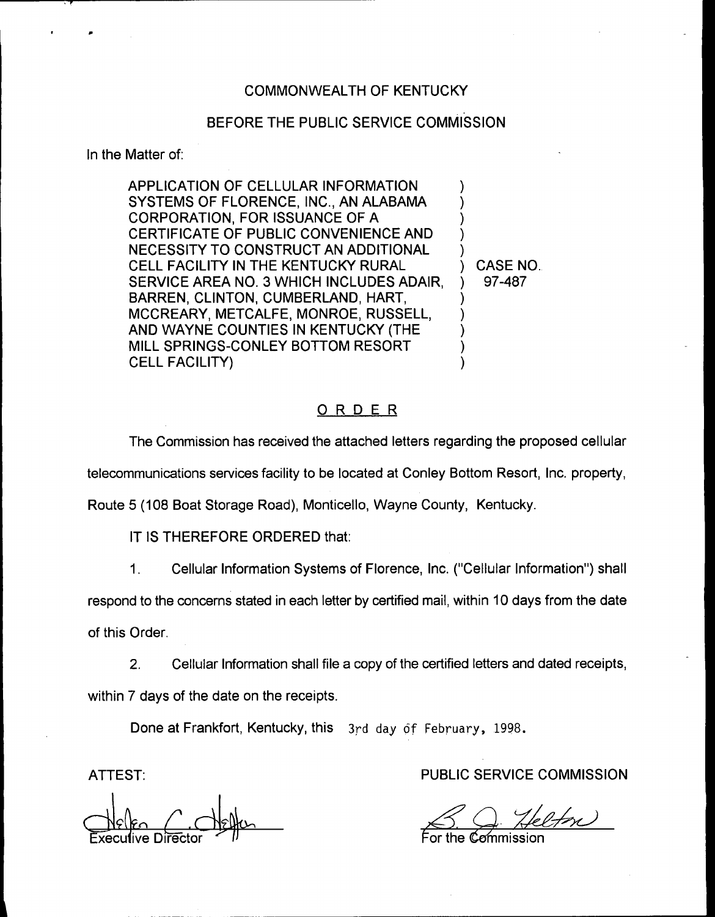## COMMONWEALTH OF KENTUCKY

# BEFORE THE PUBLIC SERVICE COMMISSION

In the Matter of:

APPLICATION OF CELLULAR INFORMATION SYSTEMS OF FLORENCE, INC., AN ALABAMA CORPORATION, FOR ISSUANCE OF A CERTIFICATE OF PUBLIC CONVENIENCE AND NECESSITY TO CONSTRUCT AN ADDITIONAL CELL FACILITY IN THE KENTUCKY RURAL SERVICE AREA NO. 3 WHICH INCLUDES ADAIR, BARREN, CLINTON, CUMBERLAND, HART, MCCREARY, METCALFE, MONROE, RUSSELL, AND WAYNE COUNTIES IN KENTUCKY {THE MILL SPRINGS-CONLEY BOTTOM RESORT CELL FACILITY) ) ) ) ) ) ) ) ) ) )

ORDER

The Commission has received the attached letters regarding the proposed cellular

telecommunications services facility to be located at Conley Bottom Resort, Inc. property,

Route 5 (108 Boat Storage Road), Monticello, Wayne County, Kentucky.

IT IS THEREFORE ORDERED that:

1. Cellular Information Systems of Florence, Inc. ("Cellular Information") sha

respond to the concerns stated in each letter by certified mail, within 10 days from the date

of this Order.

 $2.$ Cellular Information shall file a copy of the certified letters and dated receipts, within 7 days of the date on the receipts.

Done at Frankfort, Kentucky, this 3rd day of February, 1998.

ATTEST:

 $\bigcup$ elen  $\bigcup$   $\bigcup$ elen Execulive Director  $\leq$  II

PUBLIC SERVICE COMMISSION

) CASE NO.. ) 97-487

:emmission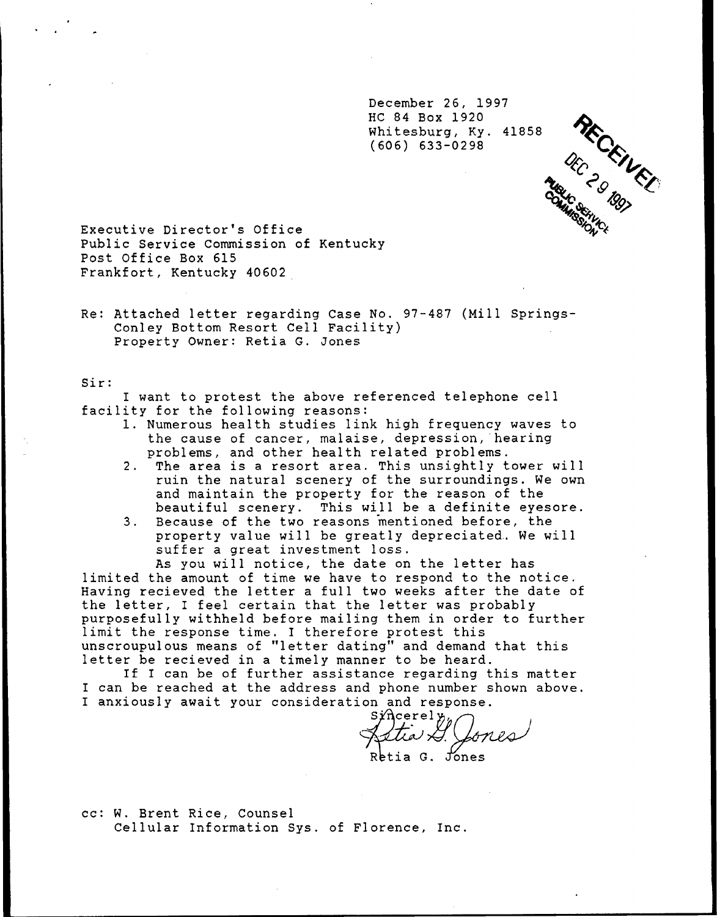December 26, 1997 HC 84 Box 1920 Whitesburg, Ky. 41858 (606) 633-0298

 $\mathscr{L}_{\mathcal{C}}$  / 19g

Executive Director's Office Public Service Commission of Kentucky Post Office Box 615 Frankfort, Kentucky 40602

Re: Attached letter regarding Case No. 97-487 (Mill Springs-Conley Bottom Resort Cell Facility) Property Owner: Retia G. Zones

Sir

I want to protest the above referenced telephone cell<br>facility for the following reasons:

- 1. Numerous health studies link high frequency waves to the cause of cancer, malaise, depression, hearing problems, and other health related problems.
- 2. The area is <sup>a</sup> resort area. This unsightly tower will ruin the natural scenery of the surroundings. We own and maintain the property for the reason of the beautiful scenery. This will be a definite eyesore.
- 3. Because of the two reasons mentioned before, the property value will be greatly depreciated.. We will suffer a great investment loss.

As you will notice, the date on the letter has limited the amount of time we have to respond to the notice. Having recieved the letter a full two weeks after the date of the letter, <sup>I</sup> feel certain that the letter was probably purposefully withheld before mailing them in order to further limit the response time. I therefore protest this unscroupulous means of "letter dating" and demand that this letter be recieved in <sup>a</sup> timely manner to be heard. If <sup>I</sup> can be of further assistance regarding this matter

I can be reached at the address and phone number shown above. I anxiously await your consideration and response.<br>Sincerely,

Astia I. Cones

cc: W. Brent Rice, Counsel Cellular Information Sys. of Florence, Inc.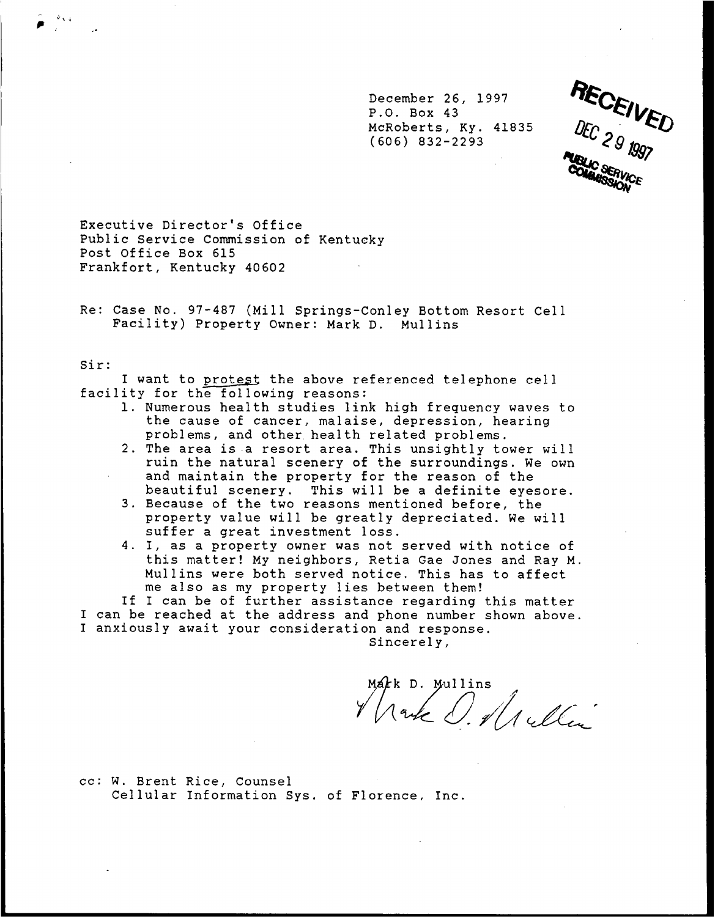December 26, 1997 P.O. Box 43 McRoberts, Ky. 41835 (606) 832-2293



Executive Director's Office Public Service Commission of Kentucky Post Office Box 615 Frankfort, Kentucky 40602

Re: Case No. 97-487 (Mill Springs-Conley Bottom Resort Cell Facility) Property Owner: Mark D. Mullins

#### Sir

I want to protest the above referenced telephone cell<br>facility for the following reasons:

- 1. Numerous health studies link high frequency waves to the cause of cancer, malaise, depression, hearing problems, and other health related problems.
- 2. The area is a resort area. This unsightly tower will ruin the natural scenery of the surroundings. We own and maintain the property for the reason of the
- beautiful scenery. This will be a definite eyesore.<br>3. Because of the two reasons mentioned before, the 3. Because of the two reasons mentioned before, the<br>property value will be greatly depreciated. We will suffer a great investment loss.
- 4. I, as <sup>a</sup> property owner was not served with notice of this matter! My neighbors, Retia Gae Jones and Ray M. Mullins were both served notice. This has to affect me also as my property lies between them!

If I can be of further assistance regarding this matter I can be reached at the address and phone number shown above. I anxiously await your consideration and response.

Sincerely,

MARK D. Mullins

cc: W. Brent Rice, Counsel Cellular Information Sys. of Florence, Inc.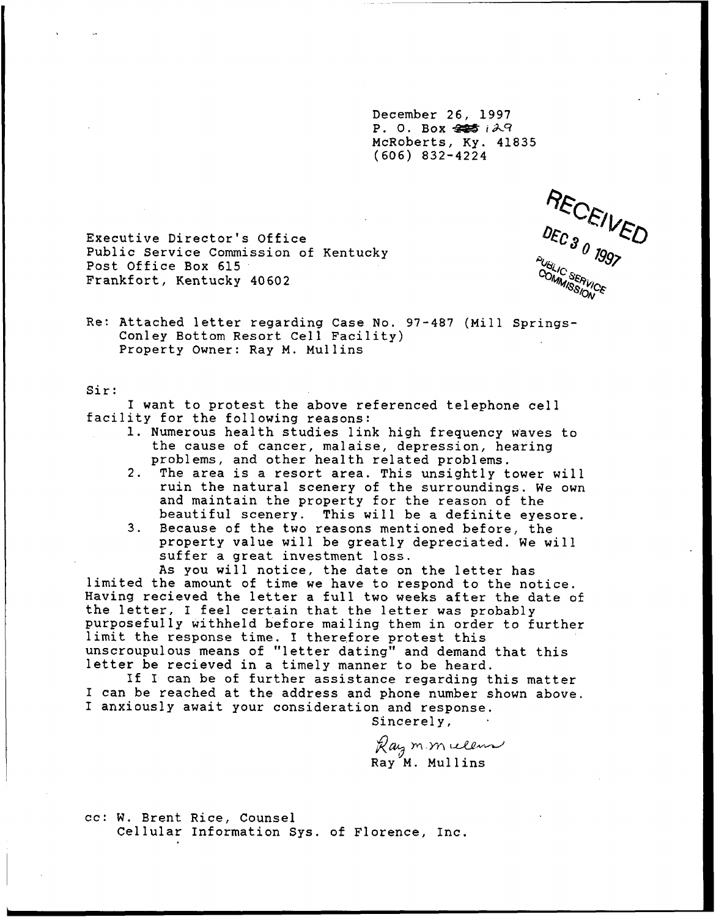December 26, 1997 P. O. Box  $445 i27$ McRoberts, Ky. 41835 (606) 832-4224

RECEIVED PUBLIC SERVICE **COMMISSION** 

Executive Director's Office Public Service Commission of Kentucky Post Office Box 615 Frankfort, Kentucky 40602

Re: Attached letter regarding Case No. 97-487 (Mill Springs-Conley Bottom Resort Cell Facility) Property Owner: Ray M. Mullins

#### Sir:

<sup>I</sup> want to protest the above referenced telephone cell facility for the following reasons: 1. Numerous health studies link high frequency waves to

- the cause of cancer, malaise, depression, hearing problems, and other health related problems.
- 2. The area is <sup>a</sup> resort area. This unsightly tower will ruin the natural scenery of the surroundings. We own and maintain the property for the reason of the
- beautiful scenery. This will be a definite eyesore.<br>3. Because of the two reasons mentioned before, the Because of the two reasons mentioned before, the<br>property value will be greatly depreciated. We will suffer a great investment loss.

As you will notice, the date on the letter has limited the amount of time we have to respond to the notice. Having recieved the letter <sup>a</sup> full two weeks after the date of the letter, I feel certain that the letter was probably purposefully withheld before mailing them in order to further limit the response time. I therefore protest this unscroupulous means of "letter dating" and demand that this letter be recieved in a timely manner to be heard.<br>If I can be of further assistance regarding this matter

I can be reached at the address and phone number shown above. I anxiously await your consideration and response.

Sincerely,

ncerely,<br>aymmuleus Ray<sup>'M</sup>. Mullins

cc: W. Brent Rice, Counsel Cellular Information Sys. of Florence, Inc.